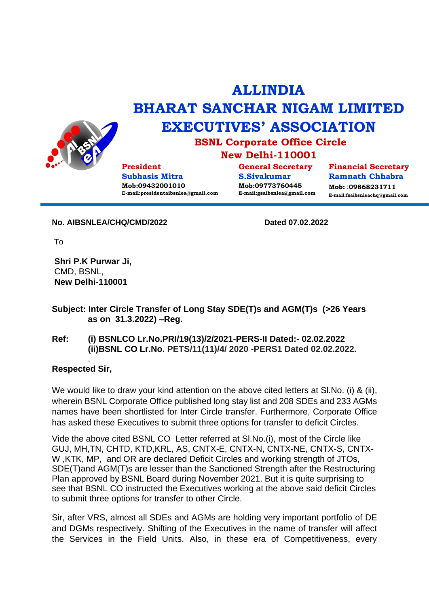

## **ALLINDIA BHARAT SANCHAR NIGAM LIMITED EXECUTIVES' ASSOCIATION**

**BSNL Corporate Office Circle**

**New Delhi-110001**

**President Subhasis Mitra Mob:09432001010 E-mail:presidentaibsnlea@gmail.com**

**General Secretary S.Sivakumar Mob:09773760445 E-mail:gsaibsnlea@gmail.com**

**Financial Secretary Ramnath Chhabra Mob:** :**09868231711 E-mail:fsaibsnleachq@gmail.com**

**No. AIBSNLEA/CHQ/CMD/2022 Dated 07.02.2022**

To

**Shri P.K Purwar Ji,** CMD, BSNL, **New Delhi-110001**

**Subject: Inter Circle Transfer of Long Stay SDE(T)s and AGM(T)s (>26 Years as on 31.3.2022) –Reg.**

## **Ref: (i) BSNLCO Lr.No.PRI/19(13)/2/2021-PERS-II Dated:- 02.02.2022 (ii)BSNL CO Lr.No. PETS/11(11)/4/ 2020 -PERS1 Dated 02.02.2022.**

## . **Respected Sir,**

We would like to draw your kind attention on the above cited letters at SI.No. (i) & (ii), wherein BSNL Corporate Office published long stay list and 208 SDEs and 233 AGMs names have been shortlisted for Inter Circle transfer. Furthermore, Corporate Office has asked these Executives to submit three options for transfer to deficit Circles.

Vide the above cited BSNL CO Letter referred at Sl.No.(i), most of the Circle like GUJ, MH,TN, CHTD, KTD,KRL, AS, CNTX-E, CNTX-N, CNTX-NE, CNTX-S, CNTX-W ,KTK, MP, and OR are declared Deficit Circles and working strength of JTOs, SDE(T)and AGM(T)s are lesser than the Sanctioned Strength after the Restructuring Plan approved by BSNL Board during November 2021. But it is quite surprising to see that BSNL CO instructed the Executives working at the above said deficit Circles to submit three options for transfer to other Circle.

Sir, after VRS, almost all SDEs and AGMs are holding very important portfolio of DE and DGMs respectively. Shifting of the Executives in the name of transfer will affect the Services in the Field Units. Also, in these era of Competitiveness, every